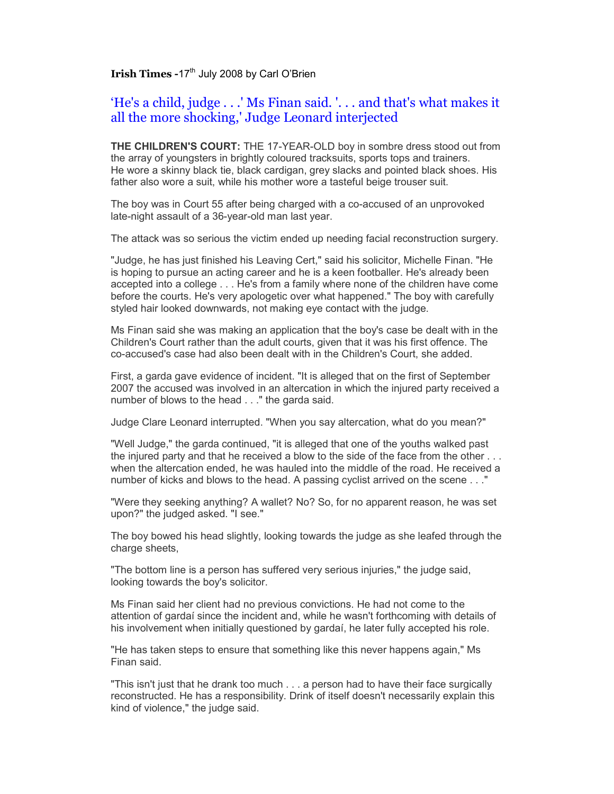## **Irish Times -17<sup>th</sup> July 2008 by Carl O'Brien**

## 'He's a child, judge . . .' Ms Finan said. '. . . and that's what makes it all the more shocking,' Judge Leonard interjected

**THE CHILDREN'S COURT:** THE 17-YEAR-OLD boy in sombre dress stood out from the array of youngsters in brightly coloured tracksuits, sports tops and trainers. He wore a skinny black tie, black cardigan, grey slacks and pointed black shoes. His father also wore a suit, while his mother wore a tasteful beige trouser suit.

The boy was in Court 55 after being charged with a co-accused of an unprovoked late-night assault of a 36-year-old man last year.

The attack was so serious the victim ended up needing facial reconstruction surgery.

"Judge, he has just finished his Leaving Cert," said his solicitor, Michelle Finan. "He is hoping to pursue an acting career and he is a keen footballer. He's already been accepted into a college . . . He's from a family where none of the children have come before the courts. He's very apologetic over what happened." The boy with carefully styled hair looked downwards, not making eye contact with the judge.

Ms Finan said she was making an application that the boy's case be dealt with in the Children's Court rather than the adult courts, given that it was his first offence. The co-accused's case had also been dealt with in the Children's Court, she added.

First, a garda gave evidence of incident. "It is alleged that on the first of September 2007 the accused was involved in an altercation in which the injured party received a number of blows to the head . . ." the garda said.

Judge Clare Leonard interrupted. "When you say altercation, what do you mean?"

"Well Judge," the garda continued, "it is alleged that one of the youths walked past the injured party and that he received a blow to the side of the face from the other . . . when the altercation ended, he was hauled into the middle of the road. He received a number of kicks and blows to the head. A passing cyclist arrived on the scene . . ."

"Were they seeking anything? A wallet? No? So, for no apparent reason, he was set upon?" the judged asked. "I see."

The boy bowed his head slightly, looking towards the judge as she leafed through the charge sheets,

"The bottom line is a person has suffered very serious injuries," the judge said, looking towards the boy's solicitor.

Ms Finan said her client had no previous convictions. He had not come to the attention of gardaí since the incident and, while he wasn't forthcoming with details of his involvement when initially questioned by gardaí, he later fully accepted his role.

"He has taken steps to ensure that something like this never happens again," Ms Finan said.

"This isn't just that he drank too much . . . a person had to have their face surgically reconstructed. He has a responsibility. Drink of itself doesn't necessarily explain this kind of violence," the judge said.